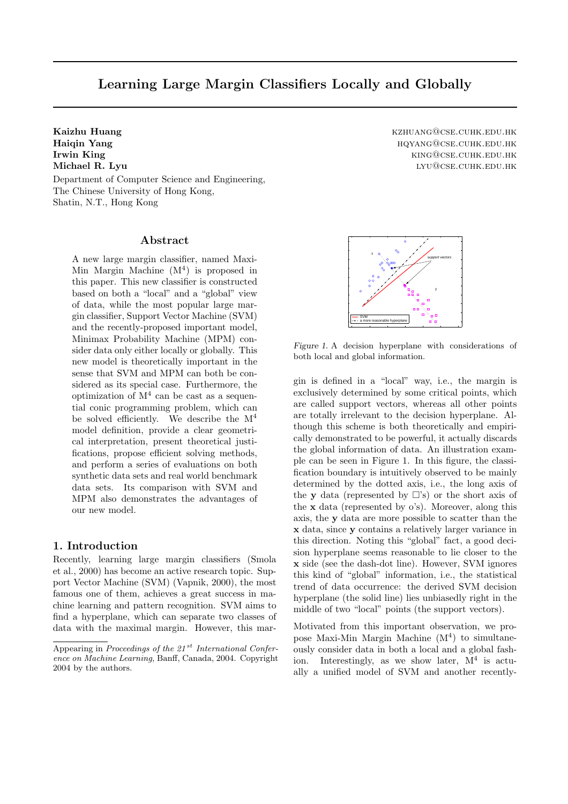# **Learning Large Margin Classifiers Locally and Globally**

Department of Computer Science and Engineering, The Chinese University of Hong Kong, Shatin, N.T., Hong Kong

### **Abstract**

A new large margin classifier, named Maxi-Min Margin Machine  $(M<sup>4</sup>)$  is proposed in this paper. This new classifier is constructed based on both a "local" and a "global" view of data, while the most popular large margin classifier, Support Vector Machine (SVM) and the recently-proposed important model, Minimax Probability Machine (MPM) consider data only either locally or globally. This new model is theoretically important in the sense that SVM and MPM can both be considered as its special case. Furthermore, the optimization of  $M<sup>4</sup>$  can be cast as a sequential conic programming problem, which can be solved efficiently. We describe the  $M<sup>4</sup>$ model definition, provide a clear geometrical interpretation, present theoretical justifications, propose efficient solving methods, and perform a series of evaluations on both synthetic data sets and real world benchmark data sets. Its comparison with SVM and MPM also demonstrates the advantages of our new model.

### **1. Introduction**

Recently, learning large margin classifiers (Smola et al., 2000) has become an active research topic. Support Vector Machine (SVM) (Vapnik, 2000), the most famous one of them, achieves a great success in machine learning and pattern recognition. SVM aims to find a hyperplane, which can separate two classes of data with the maximal margin. However, this mar-

**Kaizhu Huang** kzhuang@cse.cuhk.edu.hk **Haiqin Yang** hqyang@cse.cuhk.edu.hk **Irwin King** king@cse.cuhk.edu.hk **Michael R. Lyu** lyu@cse.cuhk.edu.hk



*Figure 1.* A decision hyperplane with considerations of both local and global information.

gin is defined in a "local" way, i.e., the margin is exclusively determined by some critical points, which are called support vectors, whereas all other points are totally irrelevant to the decision hyperplane. Although this scheme is both theoretically and empirically demonstrated to be powerful, it actually discards the global information of data. An illustration example can be seen in Figure 1. In this figure, the classification boundary is intuitively observed to be mainly determined by the dotted axis, i.e., the long axis of the **y** data (represented by  $\Box$ 's) or the short axis of the **x** data (represented by o's). Moreover, along this axis, the **y** data are more possible to scatter than the **x** data, since **y** contains a relatively larger variance in this direction. Noting this "global" fact, a good decision hyperplane seems reasonable to lie closer to the **x** side (see the dash-dot line). However, SVM ignores this kind of "global" information, i.e., the statistical trend of data occurrence: the derived SVM decision hyperplane (the solid line) lies unbiasedly right in the middle of two "local" points (the support vectors).

Motivated from this important observation, we propose Maxi-Min Margin Machine  $(M<sup>4</sup>)$  to simultaneously consider data in both a local and a global fashion. Interestingly, as we show later,  $M<sup>4</sup>$  is actually a unified model of SVM and another recently-

Appearing in Proceedings of the  $21^{st}$  International Conference on Machine Learning, Banff, Canada, 2004. Copyright 2004 by the authors.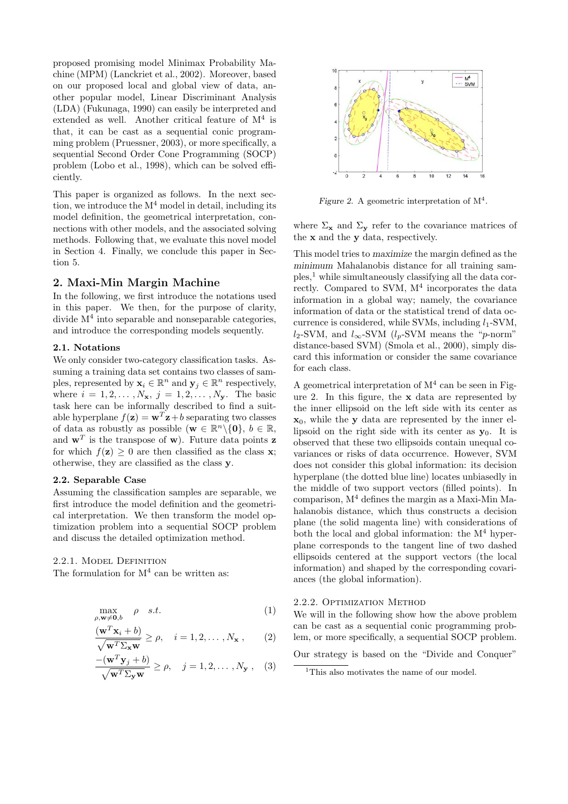proposed promising model Minimax Probability Machine (MPM) (Lanckriet et al., 2002). Moreover, based on our proposed local and global view of data, another popular model, Linear Discriminant Analysis (LDA) (Fukunaga, 1990) can easily be interpreted and extended as well. Another critical feature of  $M<sup>4</sup>$  is that, it can be cast as a sequential conic programming problem (Pruessner, 2003), or more specifically, a sequential Second Order Cone Programming (SOCP) problem (Lobo et al., 1998), which can be solved efficiently.

This paper is organized as follows. In the next section, we introduce the  $M^4$  model in detail, including its model definition, the geometrical interpretation, connections with other models, and the associated solving methods. Following that, we evaluate this novel model in Section 4. Finally, we conclude this paper in Section 5.

# **2. Maxi-Min Margin Machine**

In the following, we first introduce the notations used in this paper. We then, for the purpose of clarity, divide  $M<sup>4</sup>$  into separable and nonseparable categories, and introduce the corresponding models sequently.

#### **2.1. Notations**

We only consider two-category classification tasks. Assuming a training data set contains two classes of samples, represented by  $\mathbf{x}_i \in \mathbb{R}^n$  and  $\mathbf{y}_i \in \mathbb{R}^n$  respectively, where  $i = 1, 2, \ldots, N_x, j = 1, 2, \ldots, N_x$ . The basic task here can be informally described to find a suitable hyperplane  $f(\mathbf{z}) = \mathbf{w}^T \mathbf{z} + b$  separating two classes of data as robustly as possible  $(\mathbf{w} \in \mathbb{R}^n \setminus \{\mathbf{0}\}, b \in \mathbb{R},$ and  $\mathbf{w}^T$  is the transpose of **w**). Future data points **z** for which  $f(\mathbf{z}) \geq 0$  are then classified as the class **x**; otherwise, they are classified as the class **y**.

### **2.2. Separable Case**

Assuming the classification samples are separable, we first introduce the model definition and the geometrical interpretation. We then transform the model optimization problem into a sequential SOCP problem and discuss the detailed optimization method.

2.2.1. Model Definition

The formulation for  $M^4$  can be written as:

$$
\max_{\rho, \mathbf{w} \neq \mathbf{0}, b} \quad \rho \quad s.t. \tag{1}
$$

$$
\frac{(\mathbf{w}^T \mathbf{x}_i + b)}{\sqrt{\mathbf{w}^T \Sigma_{\mathbf{x}} \mathbf{w}}} \ge \rho, \quad i = 1, 2, ..., N_{\mathbf{x}}, \qquad (2)
$$

$$
\frac{-({\mathbf w}^T {\mathbf y}_j + b)}{\sqrt{{\mathbf w}^T \Sigma_{\mathbf y} {\mathbf w}}} \ge \rho, \quad j = 1, 2, \dots, N_{\mathbf y}, \quad (3)
$$



*Figure 2.* A geometric interpretation of  $M<sup>4</sup>$ .

where  $\Sigma_{\mathbf{x}}$  and  $\Sigma_{\mathbf{y}}$  refer to the covariance matrices of the **x** and the **y** data, respectively.

This model tries to maximize the margin defined as the minimum Mahalanobis distance for all training samples,<sup>1</sup> while simultaneously classifying all the data correctly. Compared to SVM,  $M<sup>4</sup>$  incorporates the data information in a global way; namely, the covariance information of data or the statistical trend of data occurrence is considered, while SVMs, including  $l_1$ -SVM,  $l_2$ -SVM, and  $l_{\infty}$ -SVM ( $l_p$ -SVM means the "p-norm" distance-based SVM) (Smola et al., 2000), simply discard this information or consider the same covariance for each class.

A geometrical interpretation of  $M<sup>4</sup>$  can be seen in Figure 2. In this figure, the **x** data are represented by the inner ellipsoid on the left side with its center as **x**0, while the **y** data are represented by the inner ellipsoid on the right side with its center as  $y_0$ . It is observed that these two ellipsoids contain unequal covariances or risks of data occurrence. However, SVM does not consider this global information: its decision hyperplane (the dotted blue line) locates unbiasedly in the middle of two support vectors (filled points). In comparison,  $M<sup>4</sup>$  defines the margin as a Maxi-Min Mahalanobis distance, which thus constructs a decision plane (the solid magenta line) with considerations of both the local and global information: the  $M<sup>4</sup>$  hyperplane corresponds to the tangent line of two dashed ellipsoids centered at the support vectors (the local information) and shaped by the corresponding covariances (the global information).

#### 2.2.2. Optimization Method

We will in the following show how the above problem can be cast as a sequential conic programming problem, or more specifically, a sequential SOCP problem.

Our strategy is based on the "Divide and Conquer"

 $^{\rm 1}{\rm This}$  also motivates the name of our model.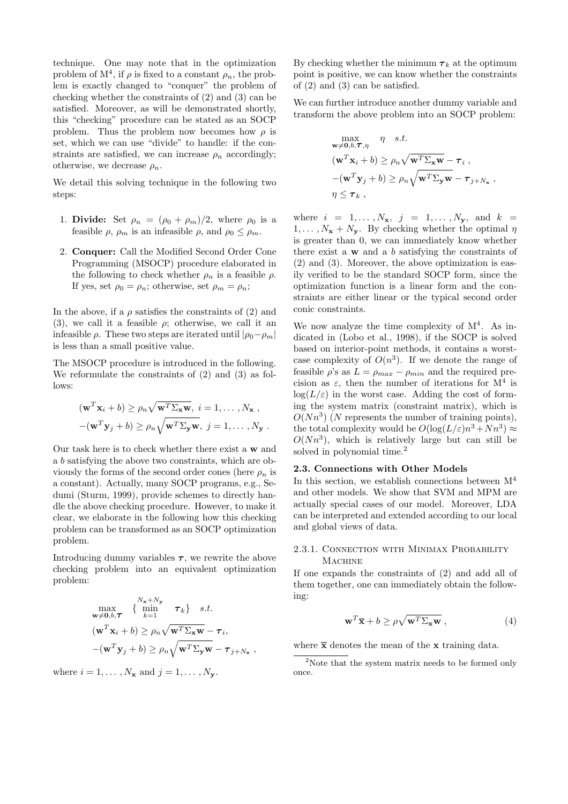technique. One may note that in the optimization problem of  $M^4$ , if  $\rho$  is fixed to a constant  $\rho_n$ , the problem is exactly changed to "conquer" the problem of checking whether the constraints of (2) and (3) can be satisfied. Moreover, as will be demonstrated shortly, this "checking" procedure can be stated as an SOCP problem. Thus the problem now becomes how  $\rho$  is set, which we can use "divide" to handle: if the constraints are satisfied, we can increase  $\rho_n$  accordingly; otherwise, we decrease  $\rho_n$ .

We detail this solving technique in the following two steps:

- 1. **Divide:** Set  $\rho_n = (\rho_0 + \rho_m)/2$ , where  $\rho_0$  is a feasible  $\rho$ ,  $\rho_m$  is an infeasible  $\rho$ , and  $\rho_0 \leq \rho_m$ .
- 2. **Conquer:** Call the Modified Second Order Cone Programming (MSOCP) procedure elaborated in the following to check whether  $\rho_n$  is a feasible  $\rho$ . If yes, set  $\rho_0 = \rho_n$ ; otherwise, set  $\rho_m = \rho_n$ ;

In the above, if a  $\rho$  satisfies the constraints of (2) and (3), we call it a feasible  $\rho$ ; otherwise, we call it an infeasible  $\rho$ . These two steps are iterated until  $|\rho_0-\rho_m|$ is less than a small positive value.

The MSOCP procedure is introduced in the following. We reformulate the constraints of (2) and (3) as follows:

$$
(\mathbf{w}^T \mathbf{x}_i + b) \ge \rho_n \sqrt{\mathbf{w}^T \Sigma_{\mathbf{x}} \mathbf{w}}, \quad i = 1, ..., N_{\mathbf{x}},
$$

$$
-(\mathbf{w}^T \mathbf{y}_j + b) \ge \rho_n \sqrt{\mathbf{w}^T \Sigma_{\mathbf{y}} \mathbf{w}}, \quad j = 1, ..., N_{\mathbf{y}}.
$$

Our task here is to check whether there exist a **w** and a b satisfying the above two constraints, which are obviously the forms of the second order cones (here  $\rho_n$  is a constant). Actually, many SOCP programs, e.g., Sedumi (Sturm, 1999), provide schemes to directly handle the above checking procedure. However, to make it clear, we elaborate in the following how this checking problem can be transformed as an SOCP optimization problem.

Introducing dummy variables  $\tau$ , we rewrite the above checking problem into an equivalent optimization problem:

$$
\max_{\mathbf{w}\neq\mathbf{0},b,\mathbf{T}} \left\{ \min_{k=1}^{N_{\mathbf{x}}+N_{\mathbf{y}}} \boldsymbol{\tau}_k \right\} \quad s.t. \n(\mathbf{w}^T \mathbf{x}_i + b) \ge \rho_n \sqrt{\mathbf{w}^T \Sigma_{\mathbf{x}} \mathbf{w}} - \tau_i, \n-(\mathbf{w}^T \mathbf{y}_j + b) \ge \rho_n \sqrt{\mathbf{w}^T \Sigma_{\mathbf{y}} \mathbf{w}} - \tau_{j+N_{\mathbf{x}}},
$$

where  $i = 1, \ldots, N_{\mathbf{x}}$  and  $j = 1, \ldots, N_{\mathbf{y}}$ .

By checking whether the minimum  $\tau_k$  at the optimum point is positive, we can know whether the constraints of (2) and (3) can be satisfied.

We can further introduce another dummy variable and transform the above problem into an SOCP problem:

$$
\max_{\mathbf{w}\neq\mathbf{0},b,\mathbf{T},\eta} \quad \eta \quad s.t.
$$
  

$$
(\mathbf{w}^T \mathbf{x}_i + b) \ge \rho_n \sqrt{\mathbf{w}^T \Sigma_{\mathbf{x}} \mathbf{w}} - \tau_i ,
$$
  

$$
-(\mathbf{w}^T \mathbf{y}_j + b) \ge \rho_n \sqrt{\mathbf{w}^T \Sigma_{\mathbf{y}} \mathbf{w}} - \tau_{j+N_{\mathbf{x}}},
$$
  

$$
\eta \le \tau_k ,
$$

where  $i = 1, ..., N_x, j = 1, ..., N_y, \text{ and } k =$  $1, \ldots, N_{\mathbf{x}} + N_{\mathbf{y}}$ . By checking whether the optimal  $\eta$ is greater than 0, we can immediately know whether there exist a **w** and a b satisfying the constraints of (2) and (3). Moreover, the above optimization is easily verified to be the standard SOCP form, since the optimization function is a linear form and the constraints are either linear or the typical second order conic constraints.

We now analyze the time complexity of  $M<sup>4</sup>$ . As indicated in (Lobo et al., 1998), if the SOCP is solved based on interior-point methods, it contains a worstcase complexity of  $O(n^3)$ . If we denote the range of feasible  $\rho$ 's as  $L = \rho_{max} - \rho_{min}$  and the required precision as  $\varepsilon$ , then the number of iterations for  $M^4$  is  $log(L/\varepsilon)$  in the worst case. Adding the cost of forming the system matrix (constraint matrix), which is  $O(Nn^3)$  (N represents the number of training points). the total complexity would be  $O(\log(L/\varepsilon)n^3 + Nn^3) \approx$  $O(Nn^3)$ , which is relatively large but can still be solved in polynomial time.<sup>2</sup>

# **2.3. Connections with Other Models**

In this section, we establish connections between  $M<sup>4</sup>$ and other models. We show that SVM and MPM are actually special cases of our model. Moreover, LDA can be interpreted and extended according to our local and global views of data.

# 2.3.1. Connection with Minimax Probability **MACHINE**

If one expands the constraints of (2) and add all of them together, one can immediately obtain the following:

$$
\mathbf{w}^T \overline{\mathbf{x}} + b \ge \rho \sqrt{\mathbf{w}^T \Sigma_{\mathbf{x}} \mathbf{w}} \,, \tag{4}
$$

where  $\bar{x}$  denotes the mean of the  $x$  training data.

<sup>&</sup>lt;sup>2</sup>Note that the system matrix needs to be formed only once.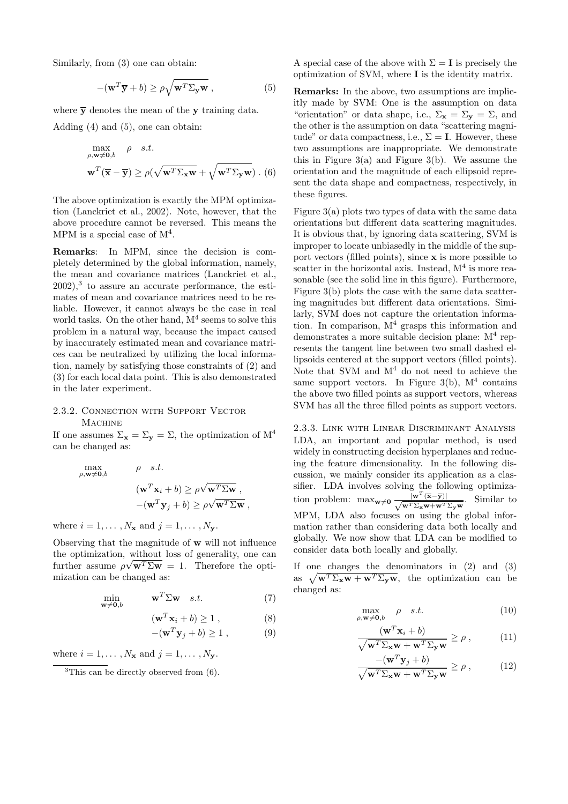Similarly, from (3) one can obtain:

$$
-(\mathbf{w}^T \overline{\mathbf{y}} + b) \ge \rho \sqrt{\mathbf{w}^T \Sigma_{\mathbf{y}} \mathbf{w}},
$$
 (5)

where  $\overline{y}$  denotes the mean of the **y** training data.

Adding  $(4)$  and  $(5)$ , one can obtain:

$$
\max_{\rho, \mathbf{w} \neq \mathbf{0}, b} \quad \rho \quad s.t.
$$
  

$$
\mathbf{w}^T (\overline{\mathbf{x}} - \overline{\mathbf{y}}) \ge \rho(\sqrt{\mathbf{w}^T \Sigma_{\mathbf{x}} \mathbf{w}} + \sqrt{\mathbf{w}^T \Sigma_{\mathbf{y}} \mathbf{w}}) .
$$
 (6)

The above optimization is exactly the MPM optimization (Lanckriet et al., 2002). Note, however, that the above procedure cannot be reversed. This means the MPM is a special case of  $M<sup>4</sup>$ .

**Remarks**: In MPM, since the decision is completely determined by the global information, namely, the mean and covariance matrices (Lanckriet et al.,  $2002$ ,<sup>3</sup> to assure an accurate performance, the estimates of mean and covariance matrices need to be reliable. However, it cannot always be the case in real world tasks. On the other hand,  $M<sup>4</sup>$  seems to solve this problem in a natural way, because the impact caused by inaccurately estimated mean and covariance matrices can be neutralized by utilizing the local information, namely by satisfying those constraints of (2) and (3) for each local data point. This is also demonstrated in the later experiment.

# 2.3.2. Connection with Support Vector **MACHINE**

If one assumes  $\Sigma_{\mathbf{x}} = \Sigma_{\mathbf{y}} = \Sigma$ , the optimization of  $M^4$ can be changed as:

$$
\begin{aligned}\n\max_{\rho, \mathbf{w} \neq \mathbf{0}, b} & \rho \quad s.t. \\
(\mathbf{w}^T \mathbf{x}_i + b) &\geq \rho \sqrt{\mathbf{w}^T \Sigma \mathbf{w}} \,, \\
-(\mathbf{w}^T \mathbf{y}_j + b) &\geq \rho \sqrt{\mathbf{w}^T \Sigma \mathbf{w}} \,,\n\end{aligned}
$$

where  $i = 1, \ldots, N_x$  and  $j = 1, \ldots, N_y$ .

Observing that the magnitude of **w** will not influence the optimization, without loss of generality, one can further assume  $\rho \sqrt{\mathbf{w}^T \Sigma \mathbf{w}} = 1$ . Therefore the optimization can be changed as:

$$
\min_{\mathbf{w} \neq \mathbf{0},b} \qquad \mathbf{w}^T \Sigma \mathbf{w} \quad s.t. \tag{7}
$$

$$
(\mathbf{w}^T \mathbf{x}_i + b) \ge 1 , \qquad (8)
$$

$$
-(\mathbf{w}^T \mathbf{y}_j + b) \ge 1 , \qquad (9)
$$

where  $i = 1, \ldots, N_{\mathbf{x}}$  and  $j = 1, \ldots, N_{\mathbf{x}}$ .

 ${}^{3}$ This can be directly observed from  $(6)$ .

A special case of the above with  $\Sigma = I$  is precisely the optimization of SVM, where **I** is the identity matrix.

**Remarks:** In the above, two assumptions are implicitly made by SVM: One is the assumption on data "orientation" or data shape, i.e.,  $\Sigma_{\mathbf{x}} = \Sigma_{\mathbf{y}} = \Sigma$ , and the other is the assumption on data "scattering magnitude" or data compactness, i.e.,  $\Sigma = I$ . However, these two assumptions are inappropriate. We demonstrate this in Figure  $3(a)$  and Figure  $3(b)$ . We assume the orientation and the magnitude of each ellipsoid represent the data shape and compactness, respectively, in these figures.

Figure 3(a) plots two types of data with the same data orientations but different data scattering magnitudes. It is obvious that, by ignoring data scattering, SVM is improper to locate unbiasedly in the middle of the support vectors (filled points), since **x** is more possible to scatter in the horizontal axis. Instead,  $M<sup>4</sup>$  is more reasonable (see the solid line in this figure). Furthermore, Figure 3(b) plots the case with the same data scattering magnitudes but different data orientations. Similarly, SVM does not capture the orientation information. In comparison,  $M<sup>4</sup>$  grasps this information and demonstrates a more suitable decision plane:  $M<sup>4</sup>$  represents the tangent line between two small dashed ellipsoids centered at the support vectors (filled points). Note that SVM and  $M<sup>4</sup>$  do not need to achieve the same support vectors. In Figure 3(b),  $M<sup>4</sup>$  contains the above two filled points as support vectors, whereas SVM has all the three filled points as support vectors.

2.3.3. Link with Linear Discriminant Analysis LDA, an important and popular method, is used widely in constructing decision hyperplanes and reducing the feature dimensionality. In the following discussion, we mainly consider its application as a classifier. LDA involves solving the following optimization problem:  $\max_{\mathbf{w}\neq\mathbf{0}} \frac{\|\mathbf{w}^T(\overline{\mathbf{x}-\mathbf{y}})\|}{\sqrt{\mathbf{w}^T \Sigma_{\mathbf{x}} \mathbf{w}+\mathbf{w}^T \Sigma_{\mathbf{y}} \mathbf{w}}}.$  Similar to MPM, LDA also focuses on using the global information rather than considering data both locally and globally. We now show that LDA can be modified to consider data both locally and globally.

If one changes the denominators in (2) and (3) as  $\sqrt{\mathbf{w}^T \Sigma_{\mathbf{x}} \mathbf{w} + \mathbf{w}^T \Sigma_{\mathbf{y}} \mathbf{w}}$ , the optimization can be changed as:

$$
\max_{\rho, \mathbf{w} \neq \mathbf{0}, b} \quad \rho \quad s.t. \tag{10}
$$

$$
\frac{(\mathbf{w}^T \mathbf{x}_i + b)}{\sqrt{\mathbf{w}^T \Sigma_{\mathbf{x}} \mathbf{w} + \mathbf{w}^T \Sigma_{\mathbf{y}} \mathbf{w}}} \ge \rho ,
$$
 (11)

$$
\frac{- (\mathbf{w}^T \mathbf{y}_j + b)}{\sqrt{\mathbf{w}^T \Sigma_{\mathbf{x}} \mathbf{w} + \mathbf{w}^T \Sigma_{\mathbf{y}} \mathbf{w}}} \ge \rho , \qquad (12)
$$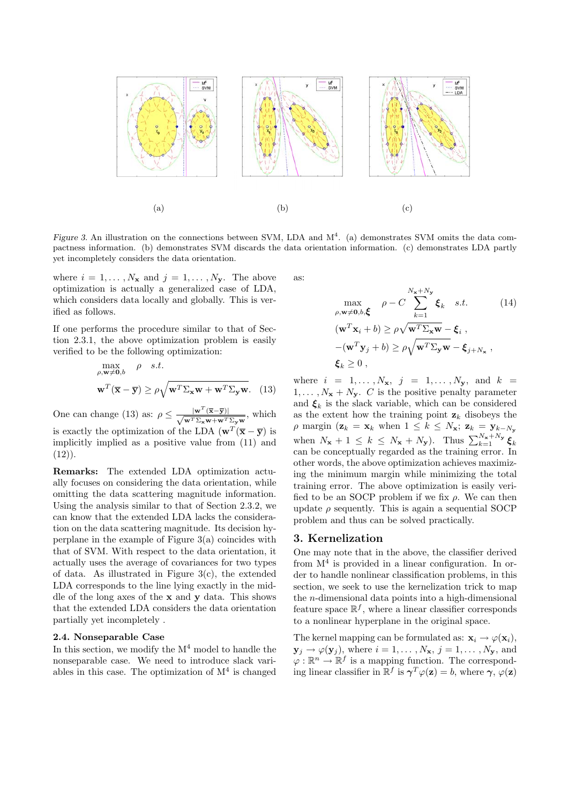

*Figure 3.* An illustration on the connections between SVM, LDA and M<sup>4</sup>. (a) demonstrates SVM omits the data compactness information. (b) demonstrates SVM discards the data orientation information. (c) demonstrates LDA partly yet incompletely considers the data orientation.

where  $i = 1, \ldots, N_x$  and  $j = 1, \ldots, N_y$ . The above optimization is actually a generalized case of LDA, which considers data locally and globally. This is verified as follows.

If one performs the procedure similar to that of Section 2.3.1, the above optimization problem is easily verified to be the following optimization:

$$
\max_{\rho, \mathbf{w} \neq \mathbf{0}, b} \quad \rho \quad s.t.
$$
  

$$
\mathbf{w}^T (\overline{\mathbf{x}} - \overline{\mathbf{y}}) \ge \rho \sqrt{\mathbf{w}^T \Sigma_{\mathbf{x}} \mathbf{w} + \mathbf{w}^T \Sigma_{\mathbf{y}} \mathbf{w}}.
$$
 (13)

One can change (13) as:  $\rho \leq \frac{|\mathbf{w}^T(\overline{\mathbf{x}} - \overline{\mathbf{y}})|}{\sqrt{\mathbf{w}^T \Sigma_{\mathbf{x}} \mathbf{w} + \mathbf{w}^T \Sigma_{\mathbf{y}} \mathbf{w}}},$  which is exactly the optimization of the LDA  $(\mathbf{w}^T (\overline{\mathbf{x}} - \overline{\mathbf{y}}))$  is implicitly implied as a positive value from (11) and  $(12)$ .

**Remarks:** The extended LDA optimization actually focuses on considering the data orientation, while omitting the data scattering magnitude information. Using the analysis similar to that of Section 2.3.2, we can know that the extended LDA lacks the consideration on the data scattering magnitude. Its decision hyperplane in the example of Figure 3(a) coincides with that of SVM. With respect to the data orientation, it actually uses the average of covariances for two types of data. As illustrated in Figure  $3(c)$ , the extended LDA corresponds to the line lying exactly in the middle of the long axes of the **x** and **y** data. This shows that the extended LDA considers the data orientation partially yet incompletely .

#### **2.4. Nonseparable Case**

In this section, we modify the  $M<sup>4</sup>$  model to handle the nonseparable case. We need to introduce slack variables in this case. The optimization of  $M<sup>4</sup>$  is changed

as:

$$
\max_{\rho, \mathbf{w} \neq \mathbf{0}, b, \xi} \quad \rho - C \sum_{k=1}^{N_{\mathbf{x}} + N_{\mathbf{y}}} \xi_k \quad s.t. \quad (14)
$$
\n
$$
(\mathbf{w}^T \mathbf{x}_i + b) \ge \rho \sqrt{\mathbf{w}^T \Sigma_{\mathbf{x}} \mathbf{w}} - \xi_i ,
$$
\n
$$
-(\mathbf{w}^T \mathbf{y}_j + b) \ge \rho \sqrt{\mathbf{w}^T \Sigma_{\mathbf{y}} \mathbf{w}} - \xi_{j+N_{\mathbf{x}}},
$$
\n
$$
\xi_k \ge 0 ,
$$

where  $i = 1, ..., N_x, j = 1, ..., N_y,$  and  $k =$  $1, \ldots, N_{\mathbf{x}} + N_{\mathbf{y}}$ . C is the positive penalty parameter and  $\xi_k$  is the slack variable, which can be considered as the extent how the training point  $z_k$  disobeys the  $\rho$  margin ( $\mathbf{z}_k = \mathbf{x}_k$  when  $1 \leq k \leq N_{\mathbf{x}}$ ;  $\mathbf{z}_k = \mathbf{y}_{k-N_{\mathbf{y}}}$ when  $N_x + 1 \leq k \leq N_x + N_y$ ). Thus  $\sum_{k=1}^{N_x + N_y} \xi_k$ can be conceptually regarded as the training error. In other words, the above optimization achieves maximizing the minimum margin while minimizing the total training error. The above optimization is easily verified to be an SOCP problem if we fix  $\rho$ . We can then update  $\rho$  sequently. This is again a sequential SOCP problem and thus can be solved practically.

### **3. Kernelization**

One may note that in the above, the classifier derived from  $M<sup>4</sup>$  is provided in a linear configuration. In order to handle nonlinear classification problems, in this section, we seek to use the kernelization trick to map the n-dimensional data points into a high-dimensional feature space  $\mathbb{R}^f$ , where a linear classifier corresponds to a nonlinear hyperplane in the original space.

The kernel mapping can be formulated as:  $\mathbf{x}_i \rightarrow \varphi(\mathbf{x}_i)$ ,  $\mathbf{y}_j \rightarrow \varphi(\mathbf{y}_j)$ , where  $i = 1, \ldots, N_\mathbf{x}, j = 1, \ldots, N_\mathbf{y}$ , and  $\varphi: \mathbb{R}^n \to \mathbb{R}^f$  is a mapping function. The corresponding linear classifier in  $\mathbb{R}^f$  is  $\gamma^T \varphi(\mathbf{z}) = b$ , where  $\gamma$ ,  $\varphi(\mathbf{z})$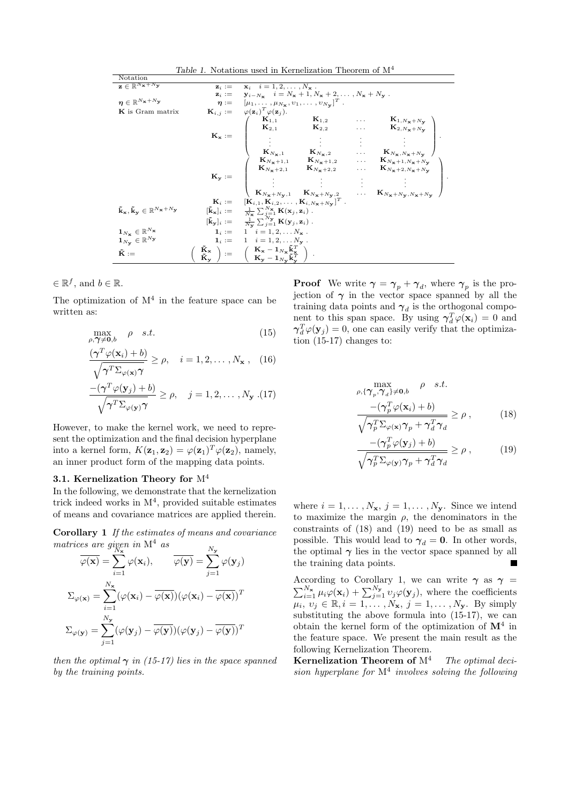| Table 1. Notations used in Kernelization Theorem of $M^4$                                                         |                   |                                                                                                                                                                                                                                                                                                                                                                                                                                                                                                                                       |  |  |  |  |  |  |
|-------------------------------------------------------------------------------------------------------------------|-------------------|---------------------------------------------------------------------------------------------------------------------------------------------------------------------------------------------------------------------------------------------------------------------------------------------------------------------------------------------------------------------------------------------------------------------------------------------------------------------------------------------------------------------------------------|--|--|--|--|--|--|
| Notation                                                                                                          |                   |                                                                                                                                                                                                                                                                                                                                                                                                                                                                                                                                       |  |  |  |  |  |  |
| $\mathbf{z} \in \mathbb{R}^{N_{\mathbf{X}}+N_{\mathbf{y}}}$                                                       | $\mathbf{z}_i :=$ | $x_i$ $i = 1, 2, \ldots, N_x$ .                                                                                                                                                                                                                                                                                                                                                                                                                                                                                                       |  |  |  |  |  |  |
|                                                                                                                   |                   | $\mathbf{z}_i := \mathbf{y}_{i-N_\mathbf{x}}$ $i = N_\mathbf{x} + 1, N_\mathbf{x} + 2, \dots, N_\mathbf{x} + N_\mathbf{y}$ .                                                                                                                                                                                                                                                                                                                                                                                                          |  |  |  |  |  |  |
| $\boldsymbol{\eta} \in \mathbb{R}^{N_{\mathbf{X}}+N_{\mathbf{y}}}$                                                |                   | $\eta := [\mu_1, \ldots, \mu_{N_x}, v_1, \ldots, v_{N_y}]^T$ .                                                                                                                                                                                                                                                                                                                                                                                                                                                                        |  |  |  |  |  |  |
| K is Gram matrix                                                                                                  |                   | $\mathbf{K}_{i,j} := \varphi(\mathbf{z}_i)^T \varphi(\mathbf{z}_j).$<br>$\mathbf{K}_{\mathbf{x}} := \begin{pmatrix} \mathbf{K}_{1,1} & \mathbf{K}_{1,2} & \dots & \mathbf{K}_{1,N_{\mathbf{x}}+N_{\mathbf{y}}} \\ \mathbf{K}_{2,1} & \mathbf{K}_{2,2} & \dots & \mathbf{K}_{2,N_{\mathbf{x}}+N_{\mathbf{y}}} \\ \vdots & \vdots & \vdots & \vdots \\ \mathbf{K}_{N_{\mathbf{x}},1} & \mathbf{K}_{N_{\mathbf{x}},2} & \dots & \mathbf{K}_{N_{\mathbf{x}},N_{\mathbf{x}}+N_{\mathbf{y}}} \\ \mathbf{K}_{N_{\mathbf{x}}+1,1} & \mathbf{$ |  |  |  |  |  |  |
|                                                                                                                   |                   |                                                                                                                                                                                                                                                                                                                                                                                                                                                                                                                                       |  |  |  |  |  |  |
|                                                                                                                   |                   |                                                                                                                                                                                                                                                                                                                                                                                                                                                                                                                                       |  |  |  |  |  |  |
|                                                                                                                   |                   |                                                                                                                                                                                                                                                                                                                                                                                                                                                                                                                                       |  |  |  |  |  |  |
|                                                                                                                   |                   |                                                                                                                                                                                                                                                                                                                                                                                                                                                                                                                                       |  |  |  |  |  |  |
|                                                                                                                   |                   |                                                                                                                                                                                                                                                                                                                                                                                                                                                                                                                                       |  |  |  |  |  |  |
|                                                                                                                   |                   |                                                                                                                                                                                                                                                                                                                                                                                                                                                                                                                                       |  |  |  |  |  |  |
|                                                                                                                   |                   |                                                                                                                                                                                                                                                                                                                                                                                                                                                                                                                                       |  |  |  |  |  |  |
|                                                                                                                   |                   |                                                                                                                                                                                                                                                                                                                                                                                                                                                                                                                                       |  |  |  |  |  |  |
|                                                                                                                   |                   |                                                                                                                                                                                                                                                                                                                                                                                                                                                                                                                                       |  |  |  |  |  |  |
|                                                                                                                   |                   |                                                                                                                                                                                                                                                                                                                                                                                                                                                                                                                                       |  |  |  |  |  |  |
|                                                                                                                   |                   | $\mathbf{K}_i := \left[\mathbf{K}_{i,1}, \mathbf{K}_{i,2}, \ldots, \mathbf{K}_{i,N_{\mathbf{x}}+N_{\mathbf{v}}}\right]^T$ .                                                                                                                                                                                                                                                                                                                                                                                                           |  |  |  |  |  |  |
| $\tilde{\mathbf{k}}_{\mathbf{x}}, \tilde{\mathbf{k}}_{\mathbf{y}} \in \mathbb{R}^{N_{\mathbf{x}}+N_{\mathbf{y}}}$ |                   |                                                                                                                                                                                                                                                                                                                                                                                                                                                                                                                                       |  |  |  |  |  |  |
|                                                                                                                   |                   | $\begin{array}{lll} [\tilde{\mathbf{k}}_{\mathbf{x}}]_i := & \frac{1}{N_{\mathbf{x}}} \sum_{j=1}^{N_{\mathbf{x}}} \mathbf{K}(\mathbf{x}_j, \mathbf{z}_i) \; . \\ [\tilde{\mathbf{k}}_{\mathbf{y}}]_i := & \frac{1}{N_{\mathbf{y}}} \sum_{j=1}^{N_{\mathbf{y}}} \mathbf{K}(\mathbf{y}_j, \mathbf{z}_i) \; . \end{array}$                                                                                                                                                                                                               |  |  |  |  |  |  |
| $\mathbf{1}_{N_{\mathbf{X}}}\in\mathbb{R}^{N_{\mathbf{X}}}$                                                       |                   | $1_i := 1 \quad i = 1, 2, \ldots N_x$ .                                                                                                                                                                                                                                                                                                                                                                                                                                                                                               |  |  |  |  |  |  |
| $\mathbf{1}_{N_{\mathbf{y}}}\in\mathbb{R}^{N_{\mathbf{y}}}$                                                       |                   | $\mathbf{1}_i := 1 \quad i = 1, 2, \ldots N_\mathbf{y}$ .                                                                                                                                                                                                                                                                                                                                                                                                                                                                             |  |  |  |  |  |  |
| $\tilde{\mathbf{K}} :=$                                                                                           |                   |                                                                                                                                                                                                                                                                                                                                                                                                                                                                                                                                       |  |  |  |  |  |  |
|                                                                                                                   |                   | $\left(\begin{array}{c} \tilde{\mathbf{K}}_{\mathbf{x}} \ \tilde{\mathbf{K}}_{\mathbf{y}} \end{array}\right) := \quad \left(\begin{array}{c} \mathbf{K}_{\mathbf{x}} - \mathbf{1}_{N_{\mathbf{x}}} \tilde{\mathbf{k}}_{\mathbf{x}}^T \ \mathbf{K}_{\mathbf{y}} - \mathbf{1}_{N_{\mathbf{y}}} \tilde{\mathbf{k}}_{\mathbf{y}}^T \end{array}\right) \ .$                                                                                                                                                                                |  |  |  |  |  |  |

 $\in \mathbb{R}^f$ , and  $b \in \mathbb{R}$ .

The optimization of  $M<sup>4</sup>$  in the feature space can be written as:

$$
\max_{\rho,\gamma \neq \mathbf{0},b} \quad \rho \quad s.t. \tag{15}
$$

$$
\frac{(\boldsymbol{\gamma}^T \varphi(\mathbf{x}_i) + b)}{\sqrt{\boldsymbol{\gamma}^T \Sigma_{\varphi(\mathbf{x})} \boldsymbol{\gamma}}} \ge \rho, \quad i = 1, 2, \dots, N_{\mathbf{x}}, \quad (16)
$$

$$
\frac{-\left(\boldsymbol{\gamma}^T\varphi(\mathbf{y}_j) + b\right)}{\sqrt{\boldsymbol{\gamma}^T\boldsymbol{\Sigma}_{\varphi(\mathbf{y})}\boldsymbol{\gamma}}} \geq \rho, \quad j = 1, 2, \dots, N_{\mathbf{y}} \tag{17}
$$

However, to make the kernel work, we need to represent the optimization and the final decision hyperplane into a kernel form,  $K(\mathbf{z}_1, \mathbf{z}_2) = \varphi(\mathbf{z}_1)^T \varphi(\mathbf{z}_2)$ , namely, an inner product form of the mapping data points.

#### **3.1. Kernelization Theory for** M<sup>4</sup>

In the following, we demonstrate that the kernelization trick indeed works in  $M<sup>4</sup>$ , provided suitable estimates of means and covariance matrices are applied therein.

**Corollary 1** *If the estimates of means and covariance matrices are given in*  $M^4$  *as*  $\mathbf{v}$ 

$$
\overline{\varphi(\mathbf{x})} = \sum_{i=1}^{N_{\mathbf{x}}} \varphi(\mathbf{x}_i), \qquad \overline{\varphi(\mathbf{y})} = \sum_{j=1}^{N_{\mathbf{y}}} \varphi(\mathbf{y}_j)
$$

$$
\Sigma_{\varphi(\mathbf{x})} = \sum_{i=1}^{N_{\mathbf{x}}} (\varphi(\mathbf{x}_i) - \overline{\varphi(\mathbf{x})})(\varphi(\mathbf{x}_i) - \overline{\varphi(\mathbf{x})})^T
$$

$$
\Sigma_{\varphi(\mathbf{y})} = \sum_{j=1}^{N_{\mathbf{y}}} (\varphi(\mathbf{y}_j) - \overline{\varphi(\mathbf{y})})(\varphi(\mathbf{y}_j) - \overline{\varphi(\mathbf{y})})^T
$$

*then the optimal*  $\gamma$  *in (15-17) lies in the space spanned by the training points.*

**Proof** We write  $\gamma = \gamma_p + \gamma_d$ , where  $\gamma_p$  is the projection of  $\gamma$  in the vector space spanned by all the training data points and  $\gamma_d$  is the orthogonal component to this span space. By using  $\gamma_d^T \varphi(\mathbf{x}_i) = 0$  and  $\gamma_d^T \varphi(\mathbf{y}_j) = 0$ , one can easily verify that the optimization (15-17) changes to:

$$
\max_{\rho, \{\gamma_p, \gamma_d\} \neq 0, b} \rho \quad s.t. \n\frac{-\left(\gamma_p^T \varphi(\mathbf{x}_i) + b\right)}{\sqrt{\gamma_p^T \Sigma_{\varphi(\mathbf{x})} \gamma_p + \gamma_d^T \gamma_d}} \ge \rho ,
$$
\n(18)

$$
\frac{-\left(\gamma_p^T \varphi(\mathbf{y}_j) + b\right)}{\sqrt{\gamma_p^T \Sigma_{\varphi(\mathbf{y})} \gamma_p + \gamma_d^T \gamma_d}} \ge \rho ,\qquad (19)
$$

where  $i = 1, \ldots, N_x, j = 1, \ldots, N_y$ . Since we intend to maximize the margin  $\rho$ , the denominators in the constraints of (18) and (19) need to be as small as possible. This would lead to  $\gamma_d = 0$ . In other words, the optimal  $\gamma$  lies in the vector space spanned by all the training data points.

According to Corollary 1, we can write  $\gamma$  as  $\gamma$  =  $\sum_{i=1}^{N_x} \mu_i \varphi(\mathbf{x}_i) + \sum_{j=1}^{N_y} v_j \varphi(\mathbf{y}_j)$ , where the coefficients  $\overline{\mu_i}, \overline{v_j} \in \mathbb{R}, i = \overline{1, \ldots, N_x}, j = 1, \ldots, N_y$ . By simply substituting the above formula into (15-17), we can obtain the kernel form of the optimization of **M**<sup>4</sup> in the feature space. We present the main result as the following Kernelization Theorem.

**Kernelization Theorem of** M<sup>4</sup> *The optimal decision hyperplane for* M<sup>4</sup> *involves solving the following*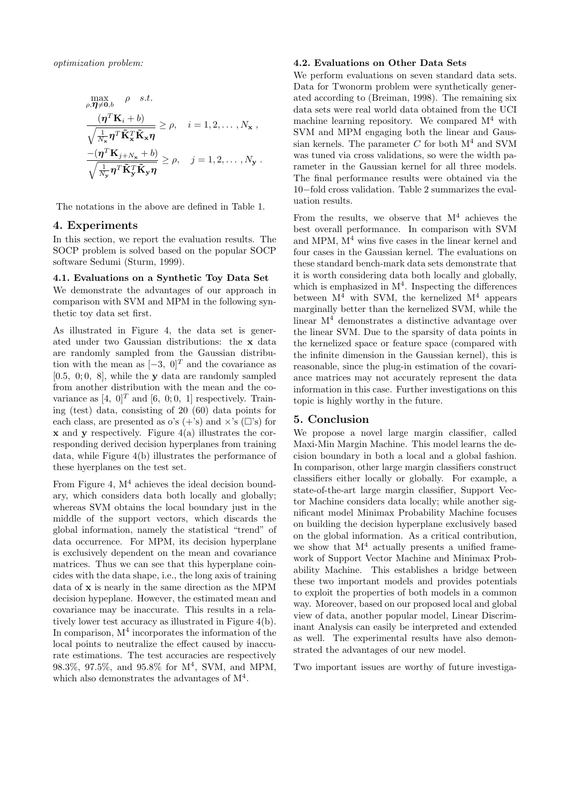$$
\begin{aligned}\n\max_{\rho,\boldsymbol{\eta}\neq\boldsymbol{0},b} & \rho \quad s.t. \\
\frac{(\boldsymbol{\eta}^T\mathbf{K}_i+b)}{\sqrt{\frac{1}{N_x}}\boldsymbol{\eta}^T\tilde{\mathbf{K}}_x^T\tilde{\mathbf{K}}_x\boldsymbol{\eta}} &\geq \rho, \quad i=1,2,\ldots,N_\mathbf{x} , \\
\frac{-(\boldsymbol{\eta}^T\mathbf{K}_{j+N_\mathbf{x}}+b)}{\sqrt{\frac{1}{N_\mathbf{y}}\boldsymbol{\eta}^T\tilde{\mathbf{K}}_y^T\tilde{\mathbf{K}}_y\boldsymbol{\eta}}} &\geq \rho, \quad j=1,2,\ldots,N_\mathbf{y} .\n\end{aligned}
$$

The notations in the above are defined in Table 1.

# **4. Experiments**

In this section, we report the evaluation results. The SOCP problem is solved based on the popular SOCP software Sedumi (Sturm, 1999).

### **4.1. Evaluations on a Synthetic Toy Data Set**

We demonstrate the advantages of our approach in comparison with SVM and MPM in the following synthetic toy data set first.

As illustrated in Figure 4, the data set is generated under two Gaussian distributions: the **x** data are randomly sampled from the Gaussian distribution with the mean as  $[-3, 0]^T$  and the covariance as [0.5, 0; 0, 8], while the **y** data are randomly sampled from another distribution with the mean and the covariance as [4, 0]<sup>T</sup> and [6, 0; 0, 1] respectively. Training (test) data, consisting of 20 (60) data points for each class, are presented as o's  $(+\text{'s})$  and  $\times$ 's  $(\square)\text{'s}$  for **x** and **y** respectively. Figure 4(a) illustrates the corresponding derived decision hyperplanes from training data, while Figure 4(b) illustrates the performance of these hyerplanes on the test set.

From Figure 4,  $M<sup>4</sup>$  achieves the ideal decision boundary, which considers data both locally and globally; whereas SVM obtains the local boundary just in the middle of the support vectors, which discards the global information, namely the statistical "trend" of data occurrence. For MPM, its decision hyperplane is exclusively dependent on the mean and covariance matrices. Thus we can see that this hyperplane coincides with the data shape, i.e., the long axis of training data of **x** is nearly in the same direction as the MPM decision hypeplane. However, the estimated mean and covariance may be inaccurate. This results in a relatively lower test accuracy as illustrated in Figure 4(b). In comparison,  $M<sup>4</sup>$  incorporates the information of the local points to neutralize the effect caused by inaccurate estimations. The test accuracies are respectively 98.3%, 97.5%, and 95.8% for  $M^4$ , SVM, and MPM, which also demonstrates the advantages of  $M<sup>4</sup>$ .

### **4.2. Evaluations on Other Data Sets**

We perform evaluations on seven standard data sets. Data for Twonorm problem were synthetically generated according to (Breiman, 1998). The remaining six data sets were real world data obtained from the UCI machine learning repository. We compared  $M<sup>4</sup>$  with SVM and MPM engaging both the linear and Gaussian kernels. The parameter  $C$  for both  $M<sup>4</sup>$  and SVM was tuned via cross validations, so were the width parameter in the Gaussian kernel for all three models. The final performance results were obtained via the 10−fold cross validation. Table 2 summarizes the evaluation results.

From the results, we observe that  $M^4$  achieves the best overall performance. In comparison with SVM and MPM,  $M<sup>4</sup>$  wins five cases in the linear kernel and four cases in the Gaussian kernel. The evaluations on these standard bench-mark data sets demonstrate that it is worth considering data both locally and globally, which is emphasized in  $M<sup>4</sup>$ . Inspecting the differences between  $M^4$  with SVM, the kernelized  $M^4$  appears marginally better than the kernelized SVM, while the linear  $M<sup>4</sup>$  demonstrates a distinctive advantage over the linear SVM. Due to the sparsity of data points in the kernelized space or feature space (compared with the infinite dimension in the Gaussian kernel), this is reasonable, since the plug-in estimation of the covariance matrices may not accurately represent the data information in this case. Further investigations on this topic is highly worthy in the future.

### **5. Conclusion**

We propose a novel large margin classifier, called Maxi-Min Margin Machine. This model learns the decision boundary in both a local and a global fashion. In comparison, other large margin classifiers construct classifiers either locally or globally. For example, a state-of-the-art large margin classifier, Support Vector Machine considers data locally; while another significant model Minimax Probability Machine focuses on building the decision hyperplane exclusively based on the global information. As a critical contribution, we show that  $M<sup>4</sup>$  actually presents a unified framework of Support Vector Machine and Minimax Probability Machine. This establishes a bridge between these two important models and provides potentials to exploit the properties of both models in a common way. Moreover, based on our proposed local and global view of data, another popular model, Linear Discriminant Analysis can easily be interpreted and extended as well. The experimental results have also demonstrated the advantages of our new model.

Two important issues are worthy of future investiga-